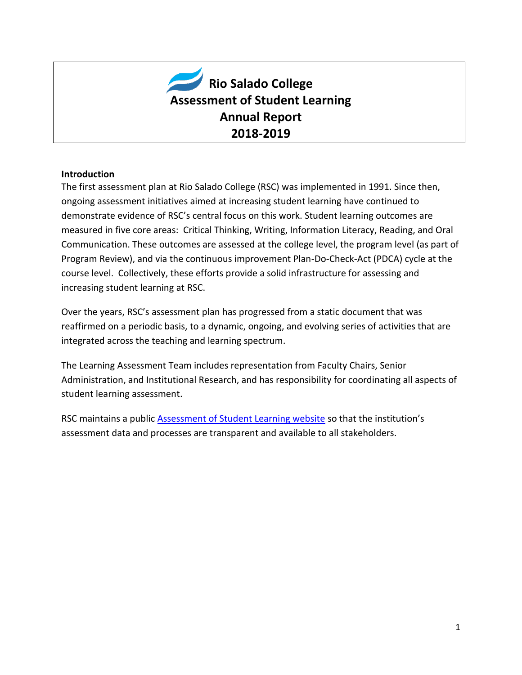

#### **Introduction**

The first assessment plan at Rio Salado College (RSC) was implemented in 1991. Since then, ongoing assessment initiatives aimed at increasing student learning have continued to demonstrate evidence of RSC's central focus on this work. Student learning outcomes are measured in five core areas: Critical Thinking, Writing, Information Literacy, Reading, and Oral Communication. These outcomes are assessed at the college level, the program level (as part of Program Review), and via the continuous improvement Plan-Do-Check-Act (PDCA) cycle at the course level. Collectively, these efforts provide a solid infrastructure for assessing and increasing student learning at RSC.

Over the years, RSC's assessment plan has progressed from a static document that was reaffirmed on a periodic basis, to a dynamic, ongoing, and evolving series of activities that are integrated across the teaching and learning spectrum.

The Learning Assessment Team includes representation from Faculty Chairs, Senior Administration, and Institutional Research, and has responsibility for coordinating all aspects of student learning assessment.

RSC maintains a public [Assessment of Student Learning website](http://www.riosalado.edu/about/teaching-learning/assessment/Pages/SLO.aspx) so that the institution's assessment data and processes are transparent and available to all stakeholders.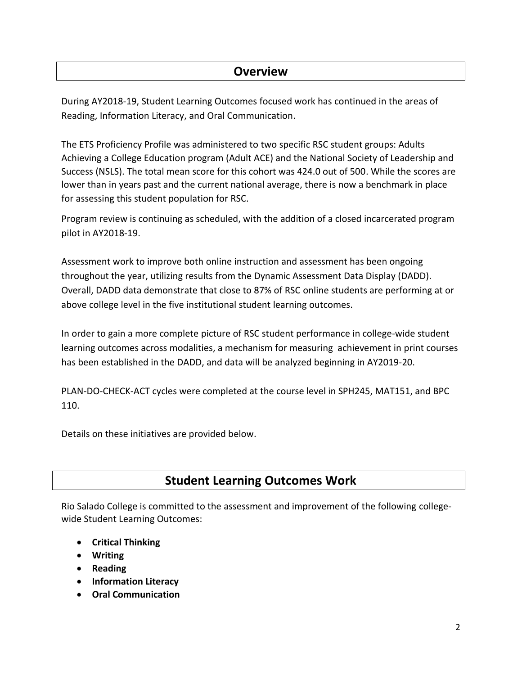## **Overview**

During AY2018-19, Student Learning Outcomes focused work has continued in the areas of Reading, Information Literacy, and Oral Communication.

The ETS Proficiency Profile was administered to two specific RSC student groups: Adults Achieving a College Education program (Adult ACE) and the National Society of Leadership and Success (NSLS). The total mean score for this cohort was 424.0 out of 500. While the scores are lower than in years past and the current national average, there is now a benchmark in place for assessing this student population for RSC.

Program review is continuing as scheduled, with the addition of a closed incarcerated program pilot in AY2018-19.

Assessment work to improve both online instruction and assessment has been ongoing throughout the year, utilizing results from the Dynamic Assessment Data Display (DADD). Overall, DADD data demonstrate that close to 87% of RSC online students are performing at or above college level in the five institutional student learning outcomes.

In order to gain a more complete picture of RSC student performance in college-wide student learning outcomes across modalities, a mechanism for measuring achievement in print courses has been established in the DADD, and data will be analyzed beginning in AY2019-20.

PLAN-DO-CHECK-ACT cycles were completed at the course level in SPH245, MAT151, and BPC 110.

Details on these initiatives are provided below.

## **Student Learning Outcomes Work**

Rio Salado College is committed to the assessment and improvement of the following collegewide Student Learning Outcomes:

- **Critical Thinking**
- **Writing**
- **Reading**
- **Information Literacy**
- **Oral Communication**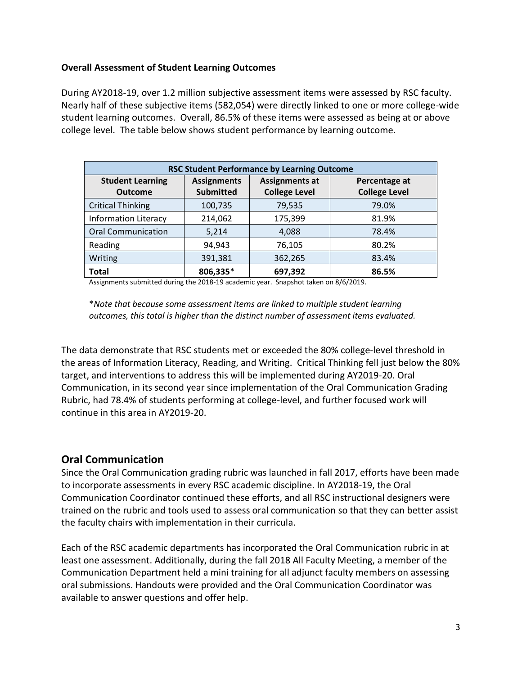#### **Overall Assessment of Student Learning Outcomes**

During AY2018-19, over 1.2 million subjective assessment items were assessed by RSC faculty. Nearly half of these subjective items (582,054) were directly linked to one or more college-wide student learning outcomes. Overall, 86.5% of these items were assessed as being at or above college level. The table below shows student performance by learning outcome.

| <b>RSC Student Performance by Learning Outcome</b> |                    |                       |                      |  |  |  |  |  |
|----------------------------------------------------|--------------------|-----------------------|----------------------|--|--|--|--|--|
| <b>Student Learning</b>                            | <b>Assignments</b> | <b>Assignments at</b> | Percentage at        |  |  |  |  |  |
| <b>Outcome</b>                                     | <b>Submitted</b>   | <b>College Level</b>  | <b>College Level</b> |  |  |  |  |  |
| <b>Critical Thinking</b>                           | 100,735            | 79,535                | 79.0%                |  |  |  |  |  |
| <b>Information Literacy</b>                        | 214,062            | 175,399               | 81.9%                |  |  |  |  |  |
| <b>Oral Communication</b>                          | 5,214              | 4,088                 | 78.4%                |  |  |  |  |  |
| Reading                                            | 94,943             | 76,105                | 80.2%                |  |  |  |  |  |
| Writing                                            | 391,381            | 362,265               | 83.4%                |  |  |  |  |  |
| <b>Total</b>                                       | 806,335*           | 697,392               | 86.5%                |  |  |  |  |  |

Assignments submitted during the 2018-19 academic year. Snapshot taken on 8/6/2019.

\**Note that because some assessment items are linked to multiple student learning outcomes, this total is higher than the distinct number of assessment items evaluated.*

The data demonstrate that RSC students met or exceeded the 80% college-level threshold in the areas of Information Literacy, Reading, and Writing. Critical Thinking fell just below the 80% target, and interventions to address this will be implemented during AY2019-20. Oral Communication, in its second year since implementation of the Oral Communication Grading Rubric, had 78.4% of students performing at college-level, and further focused work will continue in this area in AY2019-20.

#### **Oral Communication**

Since the Oral Communication grading rubric was launched in fall 2017, efforts have been made to incorporate assessments in every RSC academic discipline. In AY2018-19, the Oral Communication Coordinator continued these efforts, and all RSC instructional designers were trained on the rubric and tools used to assess oral communication so that they can better assist the faculty chairs with implementation in their curricula.

Each of the RSC academic departments has incorporated the Oral Communication rubric in at least one assessment. Additionally, during the fall 2018 All Faculty Meeting, a member of the Communication Department held a mini training for all adjunct faculty members on assessing oral submissions. Handouts were provided and the Oral Communication Coordinator was available to answer questions and offer help.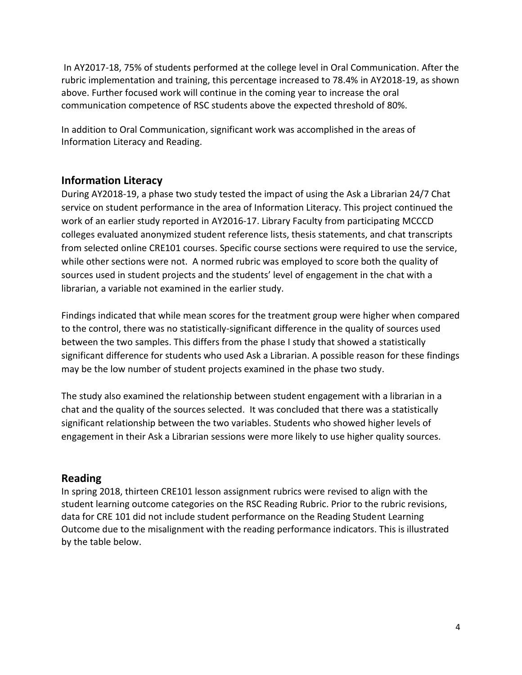In AY2017-18, 75% of students performed at the college level in Oral Communication. After the rubric implementation and training, this percentage increased to 78.4% in AY2018-19, as shown above. Further focused work will continue in the coming year to increase the oral communication competence of RSC students above the expected threshold of 80%.

In addition to Oral Communication, significant work was accomplished in the areas of Information Literacy and Reading.

### **Information Literacy**

During AY2018-19, a phase two study tested the impact of using the Ask a Librarian 24/7 Chat service on student performance in the area of Information Literacy. This project continued the work of an earlier study reported in AY2016-17. Library Faculty from participating MCCCD colleges evaluated anonymized student reference lists, thesis statements, and chat transcripts from selected online CRE101 courses. Specific course sections were required to use the service, while other sections were not. A normed rubric was employed to score both the quality of sources used in student projects and the students' level of engagement in the chat with a librarian, a variable not examined in the earlier study.

Findings indicated that while mean scores for the treatment group were higher when compared to the control, there was no statistically-significant difference in the quality of sources used between the two samples. This differs from the phase I study that showed a statistically significant difference for students who used Ask a Librarian. A possible reason for these findings may be the low number of student projects examined in the phase two study.

The study also examined the relationship between student engagement with a librarian in a chat and the quality of the sources selected. It was concluded that there was a statistically significant relationship between the two variables. Students who showed higher levels of engagement in their Ask a Librarian sessions were more likely to use higher quality sources.

#### **Reading**

In spring 2018, thirteen CRE101 lesson assignment rubrics were revised to align with the student learning outcome categories on the RSC Reading Rubric. Prior to the rubric revisions, data for CRE 101 did not include student performance on the Reading Student Learning Outcome due to the misalignment with the reading performance indicators. This is illustrated by the table below.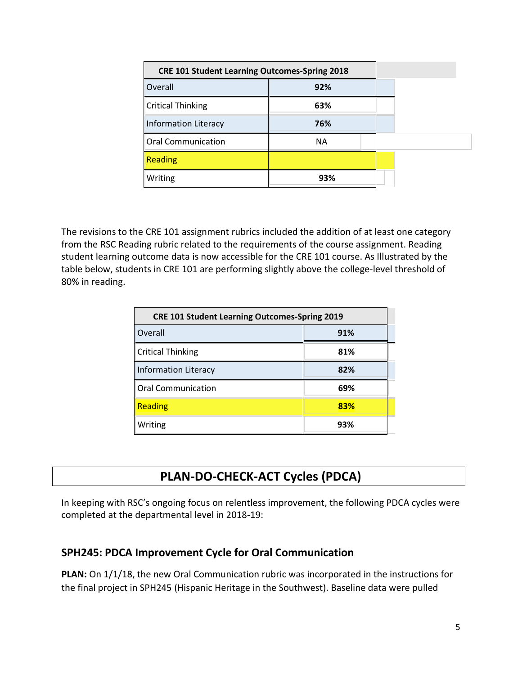| <b>CRE 101 Student Learning Outcomes-Spring 2018</b> |           |  |  |  |
|------------------------------------------------------|-----------|--|--|--|
| Overall                                              | 92%       |  |  |  |
| <b>Critical Thinking</b>                             | 63%       |  |  |  |
| <b>Information Literacy</b>                          | 76%       |  |  |  |
| <b>Oral Communication</b>                            | <b>NA</b> |  |  |  |
| <b>Reading</b>                                       |           |  |  |  |
| Writing                                              | 93%       |  |  |  |

The revisions to the CRE 101 assignment rubrics included the addition of at least one category from the RSC Reading rubric related to the requirements of the course assignment. Reading student learning outcome data is now accessible for the CRE 101 course. As Illustrated by the table below, students in CRE 101 are performing slightly above the college-level threshold of 80% in reading.

| <b>CRE 101 Student Learning Outcomes-Spring 2019</b> |     |  |  |  |
|------------------------------------------------------|-----|--|--|--|
| Overall<br>91%                                       |     |  |  |  |
| <b>Critical Thinking</b>                             | 81% |  |  |  |
| <b>Information Literacy</b>                          | 82% |  |  |  |
| <b>Oral Communication</b>                            | 69% |  |  |  |
| <b>Reading</b>                                       | 83% |  |  |  |
| Writing                                              | 93% |  |  |  |

# **PLAN-DO-CHECK-ACT Cycles (PDCA)**

In keeping with RSC's ongoing focus on relentless improvement, the following PDCA cycles were completed at the departmental level in 2018-19:

### **SPH245: PDCA Improvement Cycle for Oral Communication**

**PLAN:** On 1/1/18, the new Oral Communication rubric was incorporated in the instructions for the final project in SPH245 (Hispanic Heritage in the Southwest). Baseline data were pulled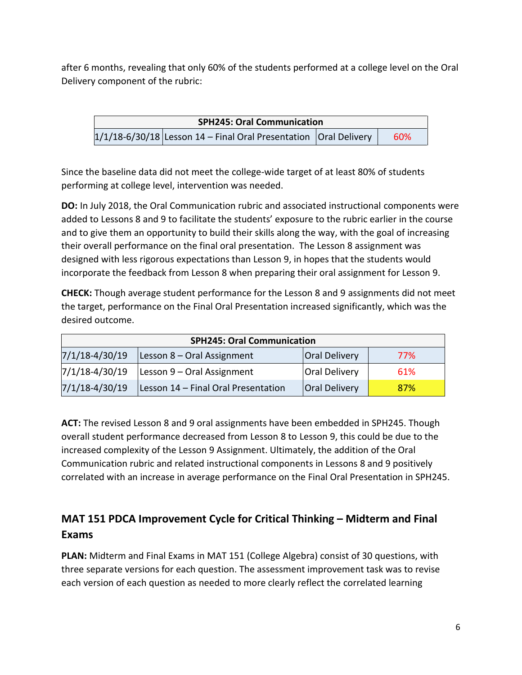after 6 months, revealing that only 60% of the students performed at a college level on the Oral Delivery component of the rubric:

**SPH245: Oral Communication**   $1/1/18-6/30/18$  Lesson 14 – Final Oral Presentation | Oral Delivery | 60%

Since the baseline data did not meet the college-wide target of at least 80% of students performing at college level, intervention was needed.

**DO:** In July 2018, the Oral Communication rubric and associated instructional components were added to Lessons 8 and 9 to facilitate the students' exposure to the rubric earlier in the course and to give them an opportunity to build their skills along the way, with the goal of increasing their overall performance on the final oral presentation. The Lesson 8 assignment was designed with less rigorous expectations than Lesson 9, in hopes that the students would incorporate the feedback from Lesson 8 when preparing their oral assignment for Lesson 9.

**CHECK:** Though average student performance for the Lesson 8 and 9 assignments did not meet the target, performance on the Final Oral Presentation increased significantly, which was the desired outcome.

| <b>SPH245: Oral Communication</b> |                                     |                      |     |  |  |  |
|-----------------------------------|-------------------------------------|----------------------|-----|--|--|--|
| $7/1/18 - 4/30/19$                | Lesson 8 - Oral Assignment          | <b>Oral Delivery</b> | 77% |  |  |  |
| 7/1/18-4/30/19                    | Lesson 9 – Oral Assignment          | <b>Oral Delivery</b> | 61% |  |  |  |
| $7/1/18 - 4/30/19$                | Lesson 14 - Final Oral Presentation | <b>Oral Delivery</b> | 87% |  |  |  |

**ACT:** The revised Lesson 8 and 9 oral assignments have been embedded in SPH245. Though overall student performance decreased from Lesson 8 to Lesson 9, this could be due to the increased complexity of the Lesson 9 Assignment. Ultimately, the addition of the Oral Communication rubric and related instructional components in Lessons 8 and 9 positively correlated with an increase in average performance on the Final Oral Presentation in SPH245.

## **MAT 151 PDCA Improvement Cycle for Critical Thinking – Midterm and Final Exams**

**PLAN:** Midterm and Final Exams in MAT 151 (College Algebra) consist of 30 questions, with three separate versions for each question. The assessment improvement task was to revise each version of each question as needed to more clearly reflect the correlated learning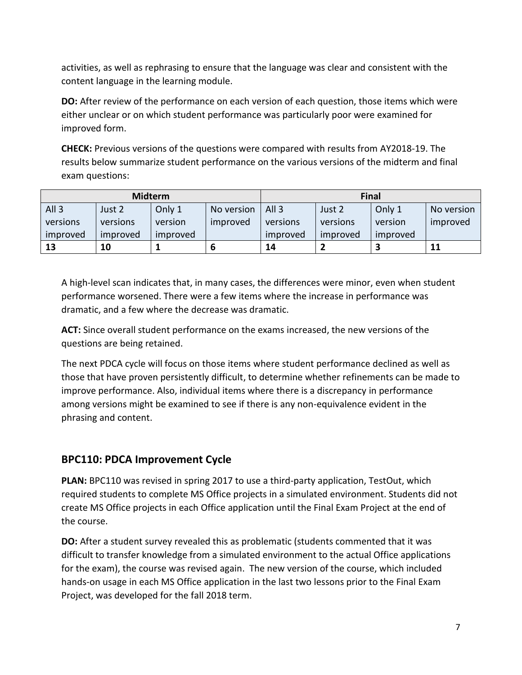activities, as well as rephrasing to ensure that the language was clear and consistent with the content language in the learning module.

**DO:** After review of the performance on each version of each question, those items which were either unclear or on which student performance was particularly poor were examined for improved form.

**CHECK:** Previous versions of the questions were compared with results from AY2018-19. The results below summarize student performance on the various versions of the midterm and final exam questions:

| <b>Midterm</b>   |          |          | <b>Final</b> |                      |            |          |          |  |
|------------------|----------|----------|--------------|----------------------|------------|----------|----------|--|
| All <sub>3</sub> | Just 2   | Only 1   | No version   | All <sub>3</sub>     | No version |          |          |  |
| versions         | versions | version  | improved     | versions<br>versions |            | version  | improved |  |
| improved         | improved | improved |              | improved             | improved   | improved |          |  |
| 13               | 10       |          |              | 14                   |            |          | 11       |  |

A high-level scan indicates that, in many cases, the differences were minor, even when student performance worsened. There were a few items where the increase in performance was dramatic, and a few where the decrease was dramatic.

**ACT:** Since overall student performance on the exams increased, the new versions of the questions are being retained.

The next PDCA cycle will focus on those items where student performance declined as well as those that have proven persistently difficult, to determine whether refinements can be made to improve performance. Also, individual items where there is a discrepancy in performance among versions might be examined to see if there is any non-equivalence evident in the phrasing and content.

### **BPC110: PDCA Improvement Cycle**

**PLAN:** BPC110 was revised in spring 2017 to use a third-party application, TestOut, which required students to complete MS Office projects in a simulated environment. Students did not create MS Office projects in each Office application until the Final Exam Project at the end of the course.

**DO:** After a student survey revealed this as problematic (students commented that it was difficult to transfer knowledge from a simulated environment to the actual Office applications for the exam), the course was revised again. The new version of the course, which included hands-on usage in each MS Office application in the last two lessons prior to the Final Exam Project, was developed for the fall 2018 term.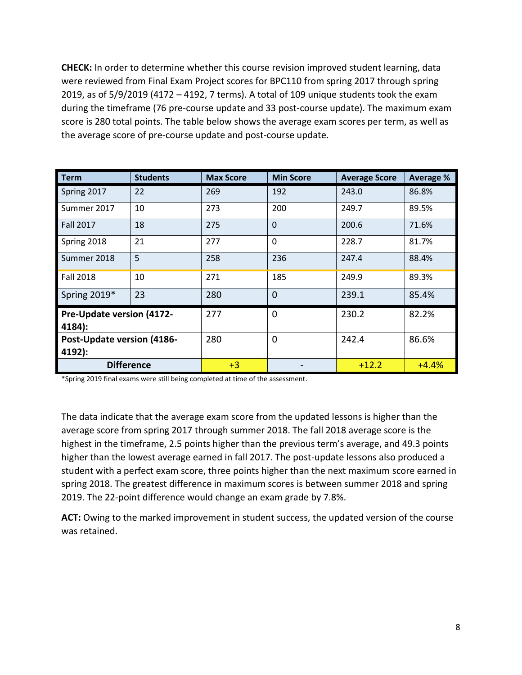**CHECK:** In order to determine whether this course revision improved student learning, data were reviewed from Final Exam Project scores for BPC110 from spring 2017 through spring 2019, as of 5/9/2019 (4172 – 4192, 7 terms). A total of 109 unique students took the exam during the timeframe (76 pre-course update and 33 post-course update). The maximum exam score is 280 total points. The table below shows the average exam scores per term, as well as the average score of pre-course update and post-course update.

| <b>Term</b>                                 | <b>Students</b> | <b>Max Score</b> | <b>Min Score</b> | <b>Average Score</b> | <b>Average %</b> |  |
|---------------------------------------------|-----------------|------------------|------------------|----------------------|------------------|--|
| Spring 2017                                 | 22              | 269              | 192              | 243.0                | 86.8%            |  |
| Summer 2017                                 | 10              | 273              | 200              | 249.7                | 89.5%            |  |
| <b>Fall 2017</b>                            | 18              | 275              | $\Omega$         | 200.6                | 71.6%            |  |
| Spring 2018                                 | 21              | 277              | $\Omega$         | 228.7                | 81.7%            |  |
| Summer 2018                                 | 5               | 258              | 236              | 247.4                | 88.4%            |  |
| 10<br><b>Fall 2018</b>                      |                 | 271              | 185              | 249.9                | 89.3%            |  |
| 23<br>Spring 2019*                          |                 | 280              | $\Omega$         | 239.1                | 85.4%            |  |
| <b>Pre-Update version (4172-</b><br>4184):  |                 | 277              | 0                | 230.2                | 82.2%            |  |
| <b>Post-Update version (4186-</b><br>4192): |                 | 280              | 0                | 242.4                | 86.6%            |  |
| <b>Difference</b>                           |                 | $+3$             |                  | $+12.2$              | $+4.4%$          |  |

\*Spring 2019 final exams were still being completed at time of the assessment.

The data indicate that the average exam score from the updated lessons is higher than the average score from spring 2017 through summer 2018. The fall 2018 average score is the highest in the timeframe, 2.5 points higher than the previous term's average, and 49.3 points higher than the lowest average earned in fall 2017. The post-update lessons also produced a student with a perfect exam score, three points higher than the next maximum score earned in spring 2018. The greatest difference in maximum scores is between summer 2018 and spring 2019. The 22-point difference would change an exam grade by 7.8%.

**ACT:** Owing to the marked improvement in student success, the updated version of the course was retained.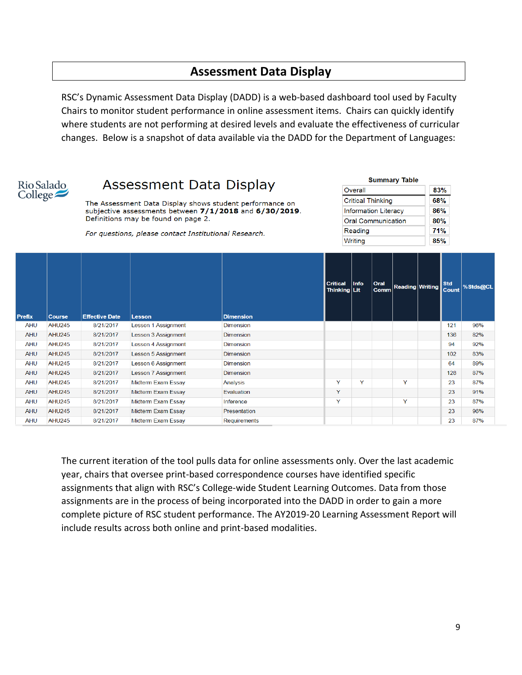## **Assessment Data Display**

RSC's Dynamic Assessment Data Display (DADD) is a web-based dashboard tool used by Faculty Chairs to monitor student performance in online assessment items. Chairs can quickly identify where students are not performing at desired levels and evaluate the effectiveness of curricular changes. Below is a snapshot of data available via the DADD for the Department of Languages:



# Assessment Data Display

The Assessment Data Display shows student performance on subjective assessments between 7/1/2018 and 6/30/2019. Definitions may be found on page 2.

For questions, please contact Institutional Research.

| <b>Summary Table</b>        |     |
|-----------------------------|-----|
| Overall                     | 83% |
| <b>Critical Thinking</b>    | 68% |
| <b>Information Literacy</b> | 86% |
| <b>Oral Communication</b>   | 80% |
| Reading                     | 71% |
| Writing                     | 85% |

| <b>Prefix</b> | <b>Course</b> | <b>Effective Date</b> | Lesson              | <b>Dimension</b>    | <b>Critical</b><br>Thinking Lit | Info | <b>Oral</b><br><b>Comm</b> | <b>Reading Writing</b> | <b>Std</b><br><b>Count</b> | %Stds@CL |
|---------------|---------------|-----------------------|---------------------|---------------------|---------------------------------|------|----------------------------|------------------------|----------------------------|----------|
| <b>AHU</b>    | <b>AHU245</b> | 8/21/2017             | Lesson 1 Assignment | <b>Dimension</b>    |                                 |      |                            |                        | 121                        | 96%      |
| <b>AHU</b>    | <b>AHU245</b> | 8/21/2017             | Lesson 3 Assignment | <b>Dimension</b>    |                                 |      |                            |                        | 136                        | 82%      |
| <b>AHU</b>    | <b>AHU245</b> | 8/21/2017             | Lesson 4 Assignment | <b>Dimension</b>    |                                 |      |                            |                        | 94                         | 92%      |
| <b>AHU</b>    | <b>AHU245</b> | 8/21/2017             | Lesson 5 Assignment | Dimension           |                                 |      |                            |                        | 102                        | 83%      |
| <b>AHU</b>    | <b>AHU245</b> | 8/21/2017             | Lesson 6 Assignment | <b>Dimension</b>    |                                 |      |                            |                        | 64                         | 89%      |
| <b>AHU</b>    | <b>AHU245</b> | 8/21/2017             | Lesson 7 Assignment | <b>Dimension</b>    |                                 |      |                            |                        | 128                        | 87%      |
| <b>AHU</b>    | <b>AHU245</b> | 8/21/2017             | Midterm Exam Essay  | Analysis            | Y                               | Y    |                            | Y                      | 23                         | 87%      |
| <b>AHU</b>    | <b>AHU245</b> | 8/21/2017             | Midterm Exam Essay  | Evaluation          | Y                               |      |                            |                        | 23                         | 91%      |
| AHU           | <b>AHU245</b> | 8/21/2017             | Midterm Exam Essay  | Inference           | Y                               |      |                            | Y                      | 23                         | 87%      |
| <b>AHU</b>    | <b>AHU245</b> | 8/21/2017             | Midterm Exam Essay  | Presentation        |                                 |      |                            |                        | 23                         | 96%      |
| <b>AHU</b>    | <b>AHU245</b> | 8/21/2017             | Midterm Exam Essay  | <b>Requirements</b> |                                 |      |                            |                        | 23                         | 87%      |

The current iteration of the tool pulls data for online assessments only. Over the last academic year, chairs that oversee print-based correspondence courses have identified specific assignments that align with RSC's College-wide Student Learning Outcomes. Data from those assignments are in the process of being incorporated into the DADD in order to gain a more complete picture of RSC student performance. The AY2019-20 Learning Assessment Report will include results across both online and print-based modalities.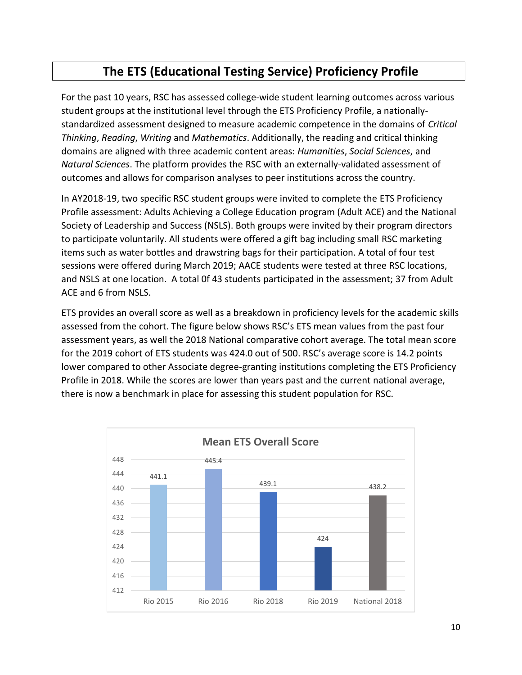# **The ETS (Educational Testing Service) Proficiency Profile**

For the past 10 years, RSC has assessed college-wide student learning outcomes across various student groups at the institutional level through the ETS Proficiency Profile, a nationallystandardized assessment designed to measure academic competence in the domains of *Critical Thinking*, *Reading*, *Writing* and *Mathematics*. Additionally, the reading and critical thinking domains are aligned with three academic content areas: *Humanities*, *Social Sciences*, and *Natural Sciences*. The platform provides the RSC with an externally-validated assessment of outcomes and allows for comparison analyses to peer institutions across the country.

In AY2018-19, two specific RSC student groups were invited to complete the ETS Proficiency Profile assessment: Adults Achieving a College Education program (Adult ACE) and the National Society of Leadership and Success (NSLS). Both groups were invited by their program directors to participate voluntarily. All students were offered a gift bag including small RSC marketing items such as water bottles and drawstring bags for their participation. A total of four test sessions were offered during March 2019; AACE students were tested at three RSC locations, and NSLS at one location. A total 0f 43 students participated in the assessment; 37 from Adult ACE and 6 from NSLS.

ETS provides an overall score as well as a breakdown in proficiency levels for the academic skills assessed from the cohort. The figure below shows RSC's ETS mean values from the past four assessment years, as well the 2018 National comparative cohort average. The total mean score for the 2019 cohort of ETS students was 424.0 out of 500. RSC's average score is 14.2 points lower compared to other Associate degree-granting institutions completing the ETS Proficiency Profile in 2018. While the scores are lower than years past and the current national average, there is now a benchmark in place for assessing this student population for RSC.

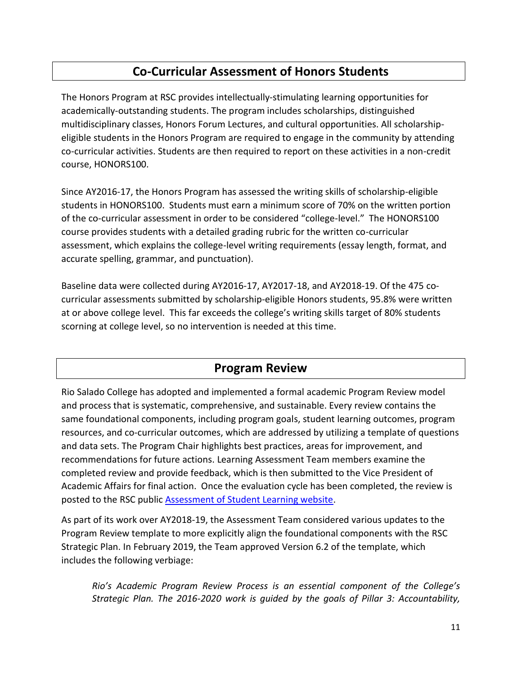## **Co-Curricular Assessment of Honors Students**

The Honors Program at RSC provides intellectually-stimulating learning opportunities for academically-outstanding students. The program includes scholarships, distinguished multidisciplinary classes, Honors Forum Lectures, and cultural opportunities. All scholarshipeligible students in the Honors Program are required to engage in the community by attending co-curricular activities. Students are then required to report on these activities in a non-credit course, HONORS100.

Since AY2016-17, the Honors Program has assessed the writing skills of scholarship-eligible students in HONORS100. Students must earn a minimum score of 70% on the written portion of the co-curricular assessment in order to be considered "college-level." The HONORS100 course provides students with a detailed grading rubric for the written co-curricular assessment, which explains the college-level writing requirements (essay length, format, and accurate spelling, grammar, and punctuation).

Baseline data were collected during AY2016-17, AY2017-18, and AY2018-19. Of the 475 cocurricular assessments submitted by scholarship-eligible Honors students, 95.8% were written at or above college level. This far exceeds the college's writing skills target of 80% students scorning at college level, so no intervention is needed at this time.

### **Program Review**

Rio Salado College has adopted and implemented a formal academic Program Review model and process that is systematic, comprehensive, and sustainable. Every review contains the same foundational components, including program goals, student learning outcomes, program resources, and co-curricular outcomes, which are addressed by utilizing a template of questions and data sets. The Program Chair highlights best practices, areas for improvement, and recommendations for future actions. Learning Assessment Team members examine the completed review and provide feedback, which is then submitted to the Vice President of Academic Affairs for final action. Once the evaluation cycle has been completed, the review is posted to the RSC public [Assessment of Student Learning website.](http://www.riosalado.edu/about/teaching-learning/assessment/Pages/SLO.aspx)

As part of its work over AY2018-19, the Assessment Team considered various updates to the Program Review template to more explicitly align the foundational components with the RSC Strategic Plan. In February 2019, the Team approved Version 6.2 of the template, which includes the following verbiage:

*Rio's Academic Program Review Process is an essential component of the College's Strategic Plan. The 2016-2020 work is guided by the goals of Pillar 3: Accountability,*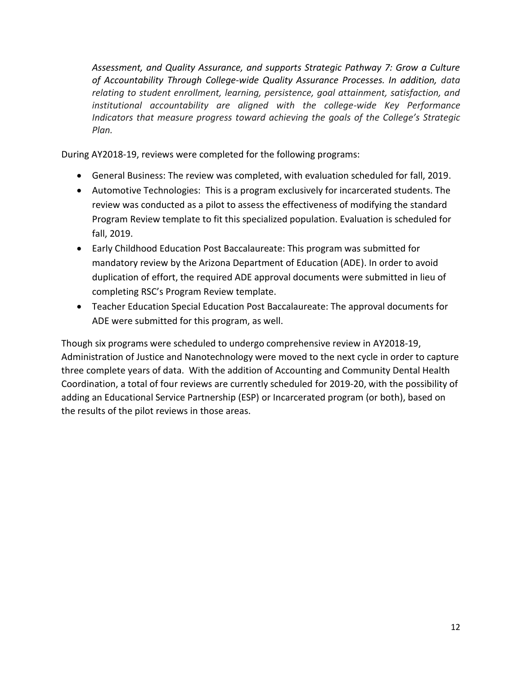*Assessment, and Quality Assurance, and supports Strategic Pathway 7: Grow a Culture of Accountability Through College-wide Quality Assurance Processes. In addition, data relating to student enrollment, learning, persistence, goal attainment, satisfaction, and institutional accountability are aligned with the college-wide Key Performance Indicators that measure progress toward achieving the goals of the College's Strategic Plan.*

During AY2018-19, reviews were completed for the following programs:

- General Business: The review was completed, with evaluation scheduled for fall, 2019.
- Automotive Technologies: This is a program exclusively for incarcerated students. The review was conducted as a pilot to assess the effectiveness of modifying the standard Program Review template to fit this specialized population. Evaluation is scheduled for fall, 2019.
- Early Childhood Education Post Baccalaureate: This program was submitted for mandatory review by the Arizona Department of Education (ADE). In order to avoid duplication of effort, the required ADE approval documents were submitted in lieu of completing RSC's Program Review template.
- Teacher Education Special Education Post Baccalaureate: The approval documents for ADE were submitted for this program, as well.

Though six programs were scheduled to undergo comprehensive review in AY2018-19, Administration of Justice and Nanotechnology were moved to the next cycle in order to capture three complete years of data. With the addition of Accounting and Community Dental Health Coordination, a total of four reviews are currently scheduled for 2019-20, with the possibility of adding an Educational Service Partnership (ESP) or Incarcerated program (or both), based on the results of the pilot reviews in those areas.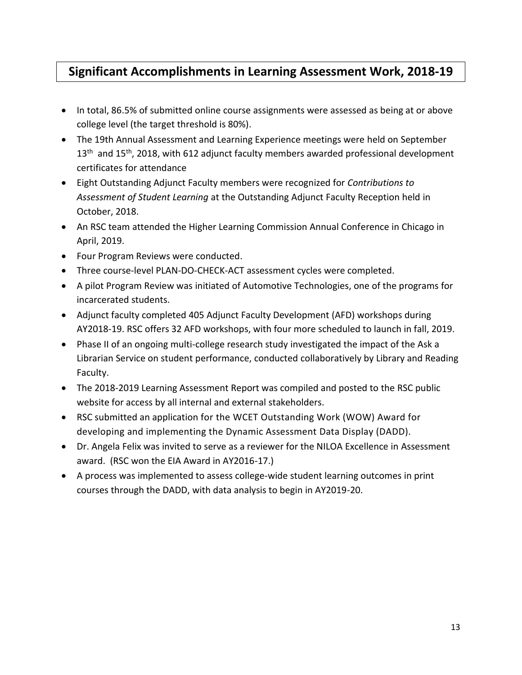## **Significant Accomplishments in Learning Assessment Work, 2018-19**

- In total, 86.5% of submitted online course assignments were assessed as being at or above college level (the target threshold is 80%).
- The 19th Annual Assessment and Learning Experience meetings were held on September 13<sup>th</sup> and 15<sup>th</sup>, 2018, with 612 adjunct faculty members awarded professional development certificates for attendance
- Eight Outstanding Adjunct Faculty members were recognized for *Contributions to Assessment of Student Learning* at the Outstanding Adjunct Faculty Reception held in October, 2018.
- An RSC team attended the Higher Learning Commission Annual Conference in Chicago in April, 2019.
- Four Program Reviews were conducted.
- Three course-level PLAN-DO-CHECK-ACT assessment cycles were completed.
- A pilot Program Review was initiated of Automotive Technologies, one of the programs for incarcerated students.
- Adjunct faculty completed 405 Adjunct Faculty Development (AFD) workshops during AY2018-19. RSC offers 32 AFD workshops, with four more scheduled to launch in fall, 2019.
- Phase II of an ongoing multi-college research study investigated the impact of the Ask a Librarian Service on student performance, conducted collaboratively by Library and Reading Faculty.
- The 2018-2019 Learning Assessment Report was compiled and posted to the RSC public website for access by all internal and external stakeholders.
- RSC submitted an application for the WCET Outstanding Work (WOW) Award for developing and implementing the Dynamic Assessment Data Display (DADD).
- Dr. Angela Felix was invited to serve as a reviewer for the NILOA Excellence in Assessment award. (RSC won the EIA Award in AY2016-17.)
- A process was implemented to assess college-wide student learning outcomes in print courses through the DADD, with data analysis to begin in AY2019-20.